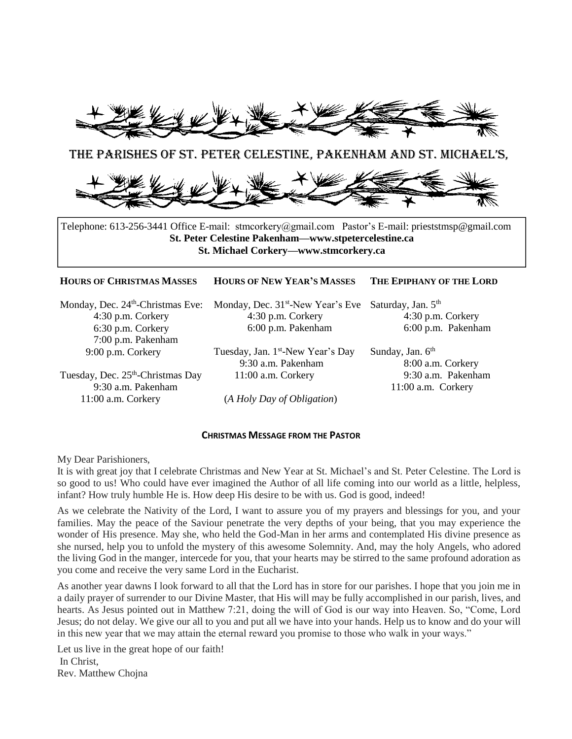

## The PARISHES OF ST. Peter Celestine, Pakenham and St. Michael'S,



Telephone: 613-256-3441 Office E-mail: stmcorkery@gmail.com Pastor's E-mail: prieststmsp@gmail.com **St. Peter Celestine Pakenham—www.stpetercelestine.ca St. Michael Corkery—www.stmcorkery.ca**

## **HOURS OF CHRISTMAS MASSES HOURS OF NEW YEAR'S MASSES THE EPIPHANY OF THE LORD**

Monday, Dec. 24<sup>th</sup>-Christmas Eve: 4:30 p.m. Corkery 6:30 p.m. Corkery 7:00 p.m. Pakenham 9:00 p.m. Corkery

Tuesday, Dec. 25<sup>th</sup>-Christmas Day 9:30 a.m. Pakenham 11:00 a.m. Corkery

Monday, Dec. 31<sup>st</sup>-New Year's Eve Saturday, Jan. 5<sup>th</sup> 4:30 p.m. Corkery 6:00 p.m. Pakenham

Tuesday, Jan. 1<sup>st</sup>-New Year's Day 9:30 a.m. Pakenham 11:00 a.m. Corkery

6:00 p.m. Pakenham Sunday, Jan.  $6<sup>th</sup>$ 

8:00 a.m. Corkery 9:30 a.m. Pakenham 11:00 a.m. Corkery

4:30 p.m. Corkery

(*A Holy Day of Obligation*)

## **CHRISTMAS MESSAGE FROM THE PASTOR**

My Dear Parishioners,

It is with great joy that I celebrate Christmas and New Year at St. Michael's and St. Peter Celestine. The Lord is so good to us! Who could have ever imagined the Author of all life coming into our world as a little, helpless, infant? How truly humble He is. How deep His desire to be with us. God is good, indeed!

As we celebrate the Nativity of the Lord, I want to assure you of my prayers and blessings for you, and your families. May the peace of the Saviour penetrate the very depths of your being, that you may experience the wonder of His presence. May she, who held the God-Man in her arms and contemplated His divine presence as she nursed, help you to unfold the mystery of this awesome Solemnity. And, may the holy Angels, who adored the living God in the manger, intercede for you, that your hearts may be stirred to the same profound adoration as you come and receive the very same Lord in the Eucharist.

As another year dawns I look forward to all that the Lord has in store for our parishes. I hope that you join me in a daily prayer of surrender to our Divine Master, that His will may be fully accomplished in our parish, lives, and hearts. As Jesus pointed out in Matthew 7:21, doing the will of God is our way into Heaven. So, "Come, Lord Jesus; do not delay. We give our all to you and put all we have into your hands. Help us to know and do your will in this new year that we may attain the eternal reward you promise to those who walk in your ways."

Let us live in the great hope of our faith! In Christ, Rev. Matthew Chojna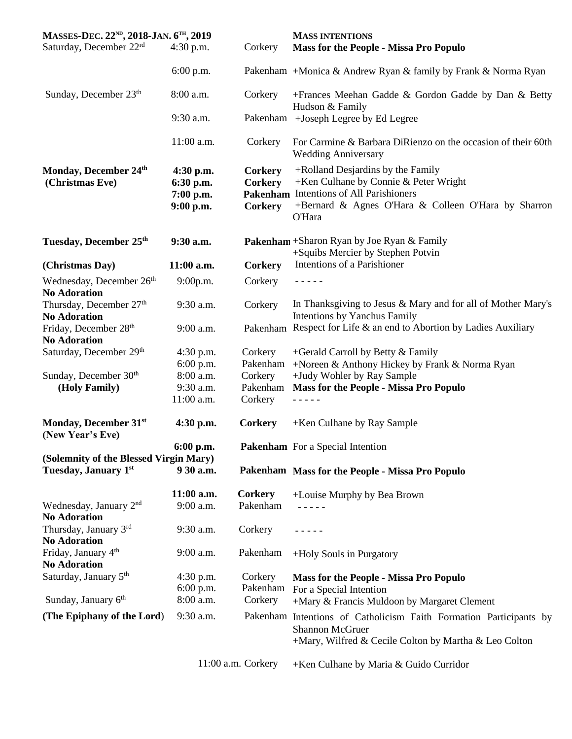| MASSES-DEC. 22 <sup>ND</sup> , 2018-JAN. 6 <sup>TH</sup> , 2019 |                                                      |                                                    | <b>MASS INTENTIONS</b>                                                                                                                                                                        |
|-----------------------------------------------------------------|------------------------------------------------------|----------------------------------------------------|-----------------------------------------------------------------------------------------------------------------------------------------------------------------------------------------------|
| Saturday, December 22rd                                         | $4:30$ p.m.                                          | Corkery                                            | <b>Mass for the People - Missa Pro Populo</b>                                                                                                                                                 |
|                                                                 | $6:00$ p.m.                                          |                                                    | Pakenham + Monica & Andrew Ryan & family by Frank & Norma Ryan                                                                                                                                |
| Sunday, December $23th$                                         | 8:00 a.m.                                            | Corkery                                            | +Frances Meehan Gadde & Gordon Gadde by Dan & Betty<br>Hudson & Family                                                                                                                        |
|                                                                 | 9:30 a.m.                                            | Pakenham                                           | +Joseph Legree by Ed Legree                                                                                                                                                                   |
|                                                                 | 11:00 a.m.                                           | Corkery                                            | For Carmine & Barbara DiRienzo on the occasion of their 60th<br><b>Wedding Anniversary</b>                                                                                                    |
| Monday, December 24th<br>(Christmas Eve)                        | $4:30$ p.m.<br>6:30 p.m.<br>7:00 p.m.<br>$9:00$ p.m. | <b>Corkery</b><br><b>Corkery</b><br><b>Corkery</b> | +Rolland Desjardins by the Family<br>+Ken Culhane by Connie & Peter Wright<br>Pakenham Intentions of All Parishioners<br>+Bernard & Agnes O'Hara & Colleen O'Hara by Sharron<br><b>O'Hara</b> |
| Tuesday, December 25th                                          | 9:30 a.m.                                            |                                                    | Pakenham + Sharon Ryan by Joe Ryan & Family<br>+Squibs Mercier by Stephen Potvin                                                                                                              |
| (Christmas Day)                                                 | $11:00$ a.m.                                         | <b>Corkery</b>                                     | Intentions of a Parishioner                                                                                                                                                                   |
| Wednesday, December 26 <sup>th</sup><br><b>No Adoration</b>     | 9:00p.m.                                             | Corkery                                            | - - - - -                                                                                                                                                                                     |
| Thursday, December 27th<br><b>No Adoration</b>                  | 9:30 a.m.                                            | Corkery                                            | In Thanksgiving to Jesus & Mary and for all of Mother Mary's<br>Intentions by Yanchus Family                                                                                                  |
| Friday, December 28th<br><b>No Adoration</b>                    | 9:00 a.m.                                            |                                                    | Pakenham Respect for Life & an end to Abortion by Ladies Auxiliary                                                                                                                            |
| Saturday, December 29th                                         | 4:30 p.m.<br>$6:00$ p.m.                             | Corkery<br>Pakenham                                | +Gerald Carroll by Betty & Family<br>+Noreen & Anthony Hickey by Frank & Norma Ryan                                                                                                           |
| Sunday, December 30 <sup>th</sup>                               | 8:00 a.m.                                            | Corkery                                            | +Judy Wohler by Ray Sample                                                                                                                                                                    |
| (Holy Family)                                                   | 9:30 a.m.                                            | Pakenham                                           | <b>Mass for the People - Missa Pro Populo</b>                                                                                                                                                 |
|                                                                 | 11:00 a.m.                                           | Corkery                                            |                                                                                                                                                                                               |
| Monday, December 31st<br>(New Year's Eve)                       | $4:30$ p.m.                                          | Corkery                                            | +Ken Culhane by Ray Sample                                                                                                                                                                    |
|                                                                 | 6:00 p.m.                                            |                                                    | <b>Pakenham</b> For a Special Intention                                                                                                                                                       |
| (Solemnity of the Blessed Virgin Mary)<br>Tuesday, January 1st  | 9 30 a.m.                                            |                                                    | Pakenham Mass for the People - Missa Pro Populo                                                                                                                                               |
|                                                                 | 11:00 a.m.                                           | <b>Corkery</b>                                     |                                                                                                                                                                                               |
| Wednesday, January $2nd$<br><b>No Adoration</b>                 | 9:00 a.m.                                            | Pakenham                                           | +Louise Murphy by Bea Brown                                                                                                                                                                   |
| Thursday, January 3rd<br><b>No Adoration</b>                    | 9:30 a.m.                                            | Corkery                                            |                                                                                                                                                                                               |
| Friday, January 4 <sup>th</sup><br><b>No Adoration</b>          | $9:00$ a.m.                                          | Pakenham                                           | +Holy Souls in Purgatory                                                                                                                                                                      |
| Saturday, January 5 <sup>th</sup>                               | $4:30$ p.m.<br>6:00 p.m.                             | Corkery<br>Pakenham                                | <b>Mass for the People - Missa Pro Populo</b><br>For a Special Intention                                                                                                                      |
| Sunday, January 6th                                             | 8:00 a.m.                                            | Corkery                                            | +Mary & Francis Muldoon by Margaret Clement                                                                                                                                                   |
| (The Epiphany of the Lord)                                      | 9:30 a.m.                                            |                                                    | Pakenham Intentions of Catholicism Faith Formation Participants by<br><b>Shannon McGruer</b><br>+Mary, Wilfred & Cecile Colton by Martha & Leo Colton                                         |
|                                                                 |                                                      | 11:00 a.m. Corkery                                 | +Ken Culhane by Maria & Guido Curridor                                                                                                                                                        |